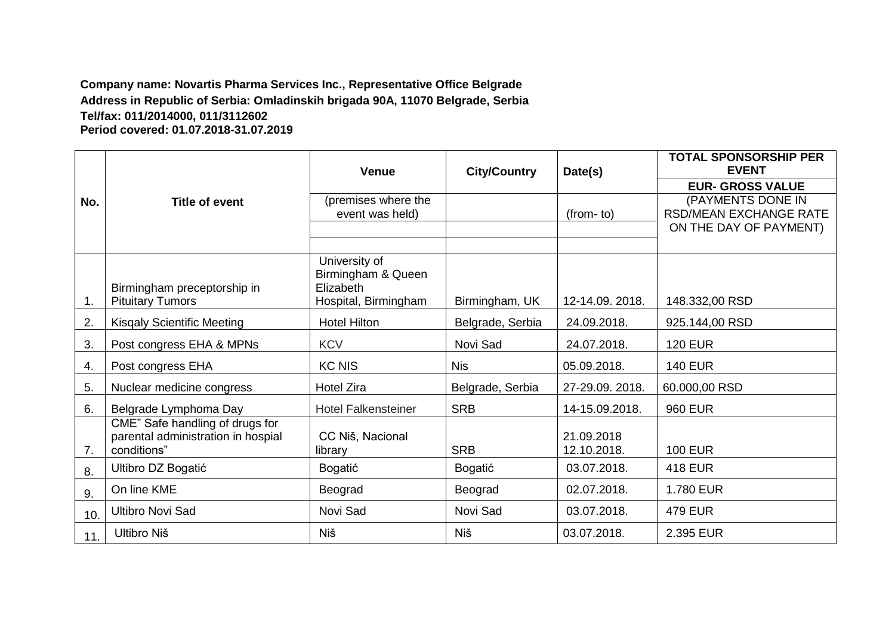#### **Company name: Novartis Pharma Services Inc., Representative Office Belgrade Address in Republic of Serbia: Omladinskih brigada 90A, 11070 Belgrade, Serbia Tel/fax: 011/2014000, 011/3112602 Period covered: 01.07.2018-31.07.2019**

|     |                                                                                      | <b>Venue</b>                                                             | <b>City/Country</b> | Date(s)                   | <b>TOTAL SPONSORSHIP PER</b><br><b>EVENT</b>                                 |
|-----|--------------------------------------------------------------------------------------|--------------------------------------------------------------------------|---------------------|---------------------------|------------------------------------------------------------------------------|
|     |                                                                                      |                                                                          |                     |                           | <b>EUR- GROSS VALUE</b>                                                      |
| No. | <b>Title of event</b>                                                                | (premises where the<br>event was held)                                   |                     | $(from-to)$               | (PAYMENTS DONE IN<br><b>RSD/MEAN EXCHANGE RATE</b><br>ON THE DAY OF PAYMENT) |
|     |                                                                                      |                                                                          |                     |                           |                                                                              |
| 1.  | Birmingham preceptorship in<br><b>Pituitary Tumors</b>                               | University of<br>Birmingham & Queen<br>Elizabeth<br>Hospital, Birmingham | Birmingham, UK      | 12-14.09. 2018.           | 148.332,00 RSD                                                               |
| 2.  | <b>Kisgaly Scientific Meeting</b>                                                    | <b>Hotel Hilton</b>                                                      | Belgrade, Serbia    | 24.09.2018.               | 925.144,00 RSD                                                               |
| 3.  | Post congress EHA & MPNs                                                             | <b>KCV</b>                                                               | Novi Sad            | 24.07.2018.               | <b>120 EUR</b>                                                               |
| 4.  | Post congress EHA                                                                    | <b>KC NIS</b>                                                            | <b>Nis</b>          | 05.09.2018.               | <b>140 EUR</b>                                                               |
| 5.  | Nuclear medicine congress                                                            | <b>Hotel Zira</b>                                                        | Belgrade, Serbia    | 27-29.09. 2018.           | 60.000,00 RSD                                                                |
| 6.  | Belgrade Lymphoma Day                                                                | <b>Hotel Falkensteiner</b>                                               | <b>SRB</b>          | 14-15.09.2018.            | <b>960 EUR</b>                                                               |
| 7.  | CME" Safe handling of drugs for<br>parental administration in hospial<br>conditions" | CC Niš, Nacional<br>library                                              | <b>SRB</b>          | 21.09.2018<br>12.10.2018. | <b>100 EUR</b>                                                               |
| 8.  | Ultibro DZ Bogatić                                                                   | Bogatić                                                                  | Bogatić             | 03.07.2018.               | <b>418 EUR</b>                                                               |
| 9.  | On line KME                                                                          | Beograd                                                                  | Beograd             | 02.07.2018.               | 1.780 EUR                                                                    |
| 10. | <b>Ultibro Novi Sad</b>                                                              | Novi Sad                                                                 | Novi Sad            | 03.07.2018.               | <b>479 EUR</b>                                                               |
| 11. | Ultibro Niš                                                                          | <b>Niš</b>                                                               | <b>Niš</b>          | 03.07.2018.               | 2.395 EUR                                                                    |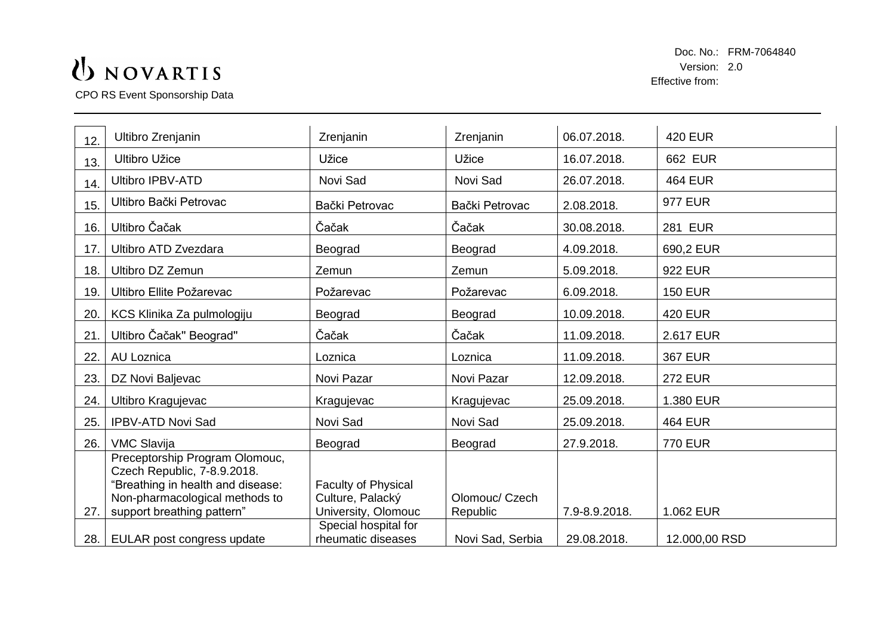CPO RS Event Sponsorship Data

| 12. | Ultibro Zrenjanin                                                                                                                                                  | Zrenjanin                                                             | Zrenjanin                  | 06.07.2018.   | <b>420 EUR</b> |
|-----|--------------------------------------------------------------------------------------------------------------------------------------------------------------------|-----------------------------------------------------------------------|----------------------------|---------------|----------------|
| 13. | <b>Ultibro Užice</b>                                                                                                                                               | Užice                                                                 | Užice                      | 16.07.2018.   | 662 EUR        |
| 14. | <b>Ultibro IPBV-ATD</b>                                                                                                                                            | Novi Sad                                                              | Novi Sad                   | 26.07.2018.   | <b>464 EUR</b> |
| 15. | Ultibro Bački Petrovac                                                                                                                                             | Bački Petrovac                                                        | Bački Petrovac             | 2.08.2018.    | <b>977 EUR</b> |
| 16. | Ultibro Čačak                                                                                                                                                      | Čačak                                                                 | Čačak                      | 30.08.2018.   | <b>281 EUR</b> |
| 17. | Ultibro ATD Zvezdara                                                                                                                                               | Beograd                                                               | Beograd                    | 4.09.2018.    | 690,2 EUR      |
| 18. | <b>Ultibro DZ Zemun</b>                                                                                                                                            | Zemun                                                                 | Zemun                      | 5.09.2018.    | <b>922 EUR</b> |
| 19. | Ultibro Ellite Požarevac                                                                                                                                           | Požarevac                                                             | Požarevac                  | 6.09.2018.    | <b>150 EUR</b> |
| 20. | KCS Klinika Za pulmologiju                                                                                                                                         | Beograd                                                               | Beograd                    | 10.09.2018.   | <b>420 EUR</b> |
| 21. | Ultibro Čačak" Beograd"                                                                                                                                            | Čačak                                                                 | Čačak                      | 11.09.2018.   | 2.617 EUR      |
| 22. | AU Loznica                                                                                                                                                         | Loznica                                                               | Loznica                    | 11.09.2018.   | <b>367 EUR</b> |
| 23. | DZ Novi Baljevac                                                                                                                                                   | Novi Pazar                                                            | Novi Pazar                 | 12.09.2018.   | <b>272 EUR</b> |
| 24. | Ultibro Kragujevac                                                                                                                                                 | Kragujevac                                                            | Kragujevac                 | 25.09.2018.   | 1.380 EUR      |
| 25. | <b>IPBV-ATD Novi Sad</b>                                                                                                                                           | Novi Sad                                                              | Novi Sad                   | 25.09.2018.   | <b>464 EUR</b> |
| 26. | <b>VMC Slavija</b>                                                                                                                                                 | Beograd                                                               | Beograd                    | 27.9.2018.    | <b>770 EUR</b> |
| 27. | Preceptorship Program Olomouc,<br>Czech Republic, 7-8.9.2018.<br>"Breathing in health and disease:<br>Non-pharmacological methods to<br>support breathing pattern" | <b>Faculty of Physical</b><br>Culture, Palacký<br>University, Olomouc | Olomouc/ Czech<br>Republic | 7.9-8.9.2018. | 1.062 EUR      |
| 28. | EULAR post congress update                                                                                                                                         | Special hospital for<br>rheumatic diseases                            | Novi Sad, Serbia           | 29.08.2018.   | 12.000,00 RSD  |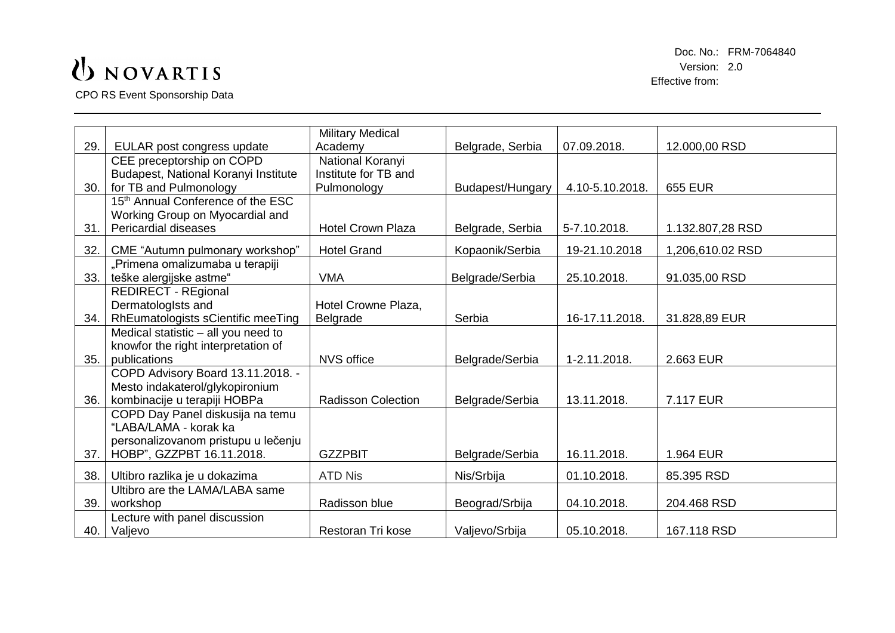CPO RS Event Sponsorship Data

|     |                                               | <b>Military Medical</b>   |                  |                 |                  |
|-----|-----------------------------------------------|---------------------------|------------------|-----------------|------------------|
| 29. | EULAR post congress update                    | Academy                   | Belgrade, Serbia | 07.09.2018.     | 12.000,00 RSD    |
|     | CEE preceptorship on COPD                     | National Koranyi          |                  |                 |                  |
|     | Budapest, National Koranyi Institute          | Institute for TB and      |                  |                 |                  |
| 30. | for TB and Pulmonology                        | Pulmonology               | Budapest/Hungary | 4.10-5.10.2018. | <b>655 EUR</b>   |
|     | 15 <sup>th</sup> Annual Conference of the ESC |                           |                  |                 |                  |
|     | Working Group on Myocardial and               |                           |                  |                 |                  |
| 31. | <b>Pericardial diseases</b>                   | <b>Hotel Crown Plaza</b>  | Belgrade, Serbia | 5-7.10.2018.    | 1.132.807,28 RSD |
| 32. | CME "Autumn pulmonary workshop"               | <b>Hotel Grand</b>        | Kopaonik/Serbia  | 19-21.10.2018   | 1,206,610.02 RSD |
|     | "Primena omalizumaba u terapiji               |                           |                  |                 |                  |
| 33. | teške alergijske astme"                       | <b>VMA</b>                | Belgrade/Serbia  | 25.10.2018.     | 91.035,00 RSD    |
|     | <b>REDIRECT - REgional</b>                    |                           |                  |                 |                  |
|     | Dermatologists and                            | Hotel Crowne Plaza,       |                  |                 |                  |
| 34. | RhEumatologists sCientific meeTing            | Belgrade                  | Serbia           | 16-17.11.2018.  | 31.828,89 EUR    |
|     | Medical statistic - all you need to           |                           |                  |                 |                  |
|     | knowfor the right interpretation of           |                           |                  |                 |                  |
| 35. | publications                                  | <b>NVS office</b>         | Belgrade/Serbia  | 1-2.11.2018.    | 2.663 EUR        |
|     | COPD Advisory Board 13.11.2018. -             |                           |                  |                 |                  |
|     | Mesto indakaterol/glykopironium               |                           |                  |                 |                  |
| 36. | kombinacije u terapiji HOBPa                  | <b>Radisson Colection</b> | Belgrade/Serbia  | 13.11.2018.     | 7.117 EUR        |
|     | COPD Day Panel diskusija na temu              |                           |                  |                 |                  |
|     | "LABA/LAMA - korak ka                         |                           |                  |                 |                  |
|     | personalizovanom pristupu u lečenju           |                           |                  |                 |                  |
| 37. | HOBP", GZZPBT 16.11.2018.                     | <b>GZZPBIT</b>            | Belgrade/Serbia  | 16.11.2018.     | 1.964 EUR        |
| 38. | Ultibro razlika je u dokazima                 | <b>ATD Nis</b>            | Nis/Srbija       | 01.10.2018.     | 85.395 RSD       |
|     | Ultibro are the LAMA/LABA same                |                           |                  |                 |                  |
| 39. | workshop                                      | Radisson blue             | Beograd/Srbija   | 04.10.2018.     | 204.468 RSD      |
|     | Lecture with panel discussion                 |                           |                  |                 |                  |
| 40. | Valjevo                                       | Restoran Tri kose         | Valjevo/Srbija   | 05.10.2018.     | 167.118 RSD      |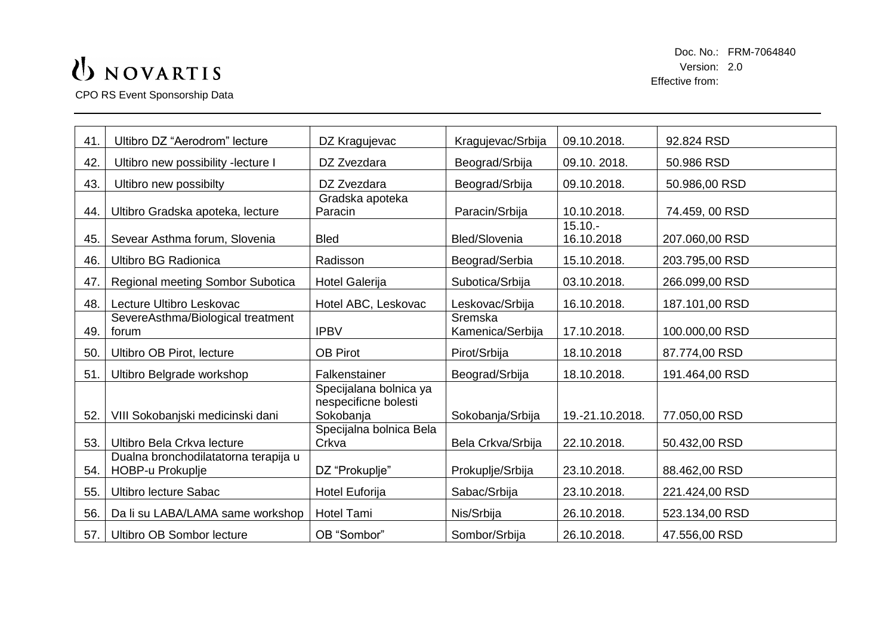CPO RS Event Sponsorship Data

| Ultibro DZ "Aerodrom" lecture                            | DZ Kragujevac                                  | Kragujevac/Srbija           | 09.10.2018.     | 92.824 RSD     |
|----------------------------------------------------------|------------------------------------------------|-----------------------------|-----------------|----------------|
| Ultibro new possibility -lecture I                       | DZ Zvezdara                                    | Beograd/Srbija              | 09.10.2018.     | 50.986 RSD     |
| Ultibro new possibilty                                   | DZ Zvezdara                                    | Beograd/Srbija              | 09.10.2018.     | 50.986,00 RSD  |
| Ultibro Gradska apoteka, lecture                         | Gradska apoteka<br>Paracin                     | Paracin/Srbija              | 10.10.2018.     | 74.459, 00 RSD |
| Sevear Asthma forum, Slovenia                            | <b>Bled</b>                                    | <b>Bled/Slovenia</b>        | 16.10.2018      | 207.060,00 RSD |
| <b>Ultibro BG Radionica</b>                              | Radisson                                       | Beograd/Serbia              | 15.10.2018.     | 203.795,00 RSD |
| Regional meeting Sombor Subotica                         | Hotel Galerija                                 | Subotica/Srbija             | 03.10.2018.     | 266.099,00 RSD |
| Lecture Ultibro Leskovac                                 | Hotel ABC, Leskovac                            | Leskovac/Srbija             | 16.10.2018.     | 187.101,00 RSD |
| SevereAsthma/Biological treatment<br>forum               | <b>IPBV</b>                                    | Sremska<br>Kamenica/Serbija | 17.10.2018.     | 100.000,00 RSD |
| Ultibro OB Pirot, lecture                                | <b>OB Pirot</b>                                | Pirot/Srbija                | 18.10.2018      | 87.774,00 RSD  |
| Ultibro Belgrade workshop                                | Falkenstainer                                  | Beograd/Srbija              | 18.10.2018.     | 191.464,00 RSD |
|                                                          | Specijalana bolnica ya<br>nespecificne bolesti | Sokobanja/Srbija            | 19.-21.10.2018. | 77.050,00 RSD  |
| Ultibro Bela Crkva lecture                               | Specijalna bolnica Bela<br>Crkva               | Bela Crkva/Srbija           | 22.10.2018.     | 50.432,00 RSD  |
| Dualna bronchodilatatorna terapija u<br>HOBP-u Prokuplje | DZ "Prokuplje"                                 | Prokuplje/Srbija            | 23.10.2018.     | 88.462,00 RSD  |
| <b>Ultibro lecture Sabac</b>                             | Hotel Euforija                                 | Sabac/Srbija                | 23.10.2018.     | 221.424,00 RSD |
| Da li su LABA/LAMA same workshop                         | <b>Hotel Tami</b>                              | Nis/Srbija                  | 26.10.2018.     | 523.134,00 RSD |
| 57.<br>Ultibro OB Sombor lecture                         | OB "Sombor"                                    | Sombor/Srbija               | 26.10.2018.     | 47.556,00 RSD  |
|                                                          | VIII Sokobanjski medicinski dani               | Sokobanja                   |                 | $15.10 -$      |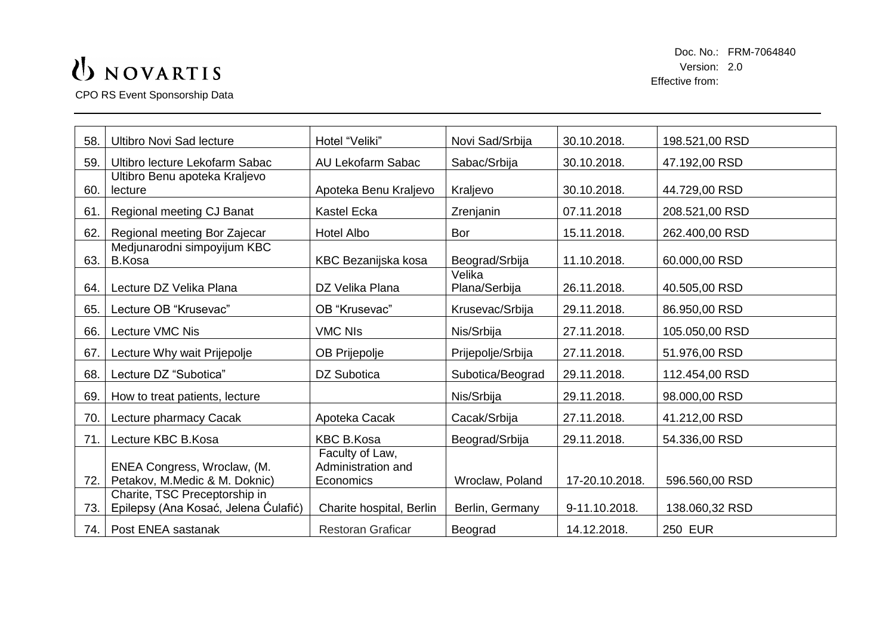CPO RS Event Sponsorship Data

| 58. | <b>Ultibro Novi Sad lecture</b>                                       | Hotel "Veliki"                                     | Novi Sad/Srbija         | 30.10.2018.    | 198.521,00 RSD |
|-----|-----------------------------------------------------------------------|----------------------------------------------------|-------------------------|----------------|----------------|
| 59. | Ultibro lecture Lekofarm Sabac                                        | AU Lekofarm Sabac                                  | Sabac/Srbija            | 30.10.2018.    | 47.192,00 RSD  |
| 60. | Ultibro Benu apoteka Kraljevo<br>lecture                              | Apoteka Benu Kraljevo                              | Kraljevo                | 30.10.2018.    | 44.729,00 RSD  |
| 61. | Regional meeting CJ Banat                                             | <b>Kastel Ecka</b>                                 | Zrenjanin               | 07.11.2018     | 208.521,00 RSD |
| 62. | Regional meeting Bor Zajecar                                          | <b>Hotel Albo</b>                                  | Bor                     | 15.11.2018.    | 262.400,00 RSD |
| 63. | Medjunarodni simpoyijum KBC<br><b>B.Kosa</b>                          | KBC Bezanijska kosa                                | Beograd/Srbija          | 11.10.2018.    | 60.000,00 RSD  |
| 64. | Lecture DZ Velika Plana                                               | DZ Velika Plana                                    | Velika<br>Plana/Serbija | 26.11.2018.    | 40.505,00 RSD  |
| 65. | Lecture OB "Krusevac"                                                 | OB "Krusevac"                                      | Krusevac/Srbija         | 29.11.2018.    | 86.950,00 RSD  |
| 66. | Lecture VMC Nis                                                       | <b>VMC NIs</b>                                     | Nis/Srbija              | 27.11.2018.    | 105.050,00 RSD |
| 67. | Lecture Why wait Prijepolje                                           | OB Prijepolje                                      | Prijepolje/Srbija       | 27.11.2018.    | 51.976,00 RSD  |
| 68. | Lecture DZ "Subotica"                                                 | DZ Subotica                                        | Subotica/Beograd        | 29.11.2018.    | 112.454,00 RSD |
| 69. | How to treat patients, lecture                                        |                                                    | Nis/Srbija              | 29.11.2018.    | 98.000,00 RSD  |
| 70. | Lecture pharmacy Cacak                                                | Apoteka Cacak                                      | Cacak/Srbija            | 27.11.2018.    | 41.212,00 RSD  |
| 71. | Lecture KBC B.Kosa                                                    | <b>KBC B.Kosa</b>                                  | Beograd/Srbija          | 29.11.2018.    | 54.336,00 RSD  |
| 72. | ENEA Congress, Wroclaw, (M.<br>Petakov, M.Medic & M. Doknic)          | Faculty of Law,<br>Administration and<br>Economics | Wroclaw, Poland         | 17-20.10.2018. | 596.560,00 RSD |
| 73. | Charite, TSC Preceptorship in<br>Epilepsy (Ana Kosać, Jelena Ćulafić) | Charite hospital, Berlin                           | Berlin, Germany         | 9-11.10.2018.  | 138.060,32 RSD |
| 74. | Post ENEA sastanak                                                    | <b>Restoran Graficar</b>                           | Beograd                 | 14.12.2018.    | <b>250 EUR</b> |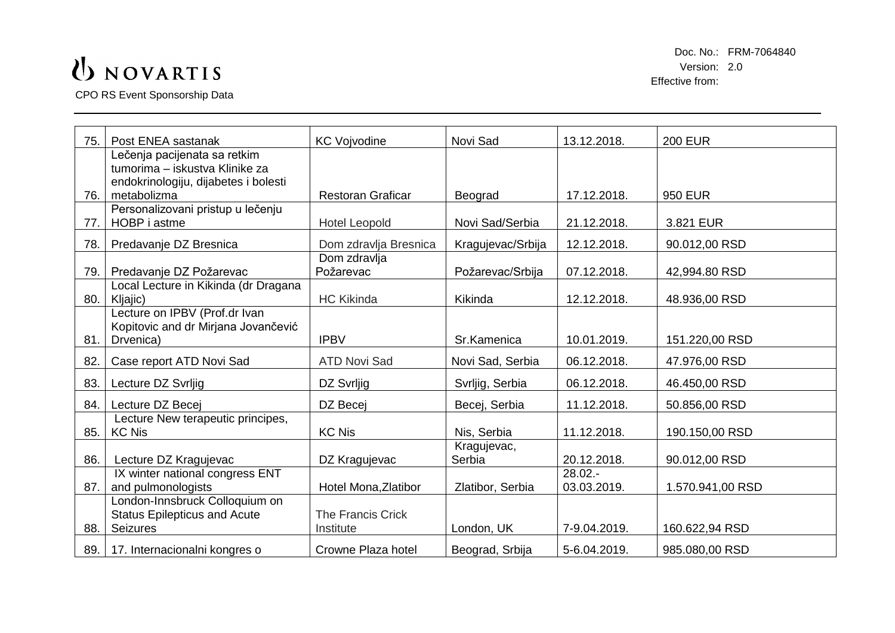CPO RS Event Sponsorship Data

| 75. | Post ENEA sastanak                                                     | <b>KC Vojvodine</b>      | Novi Sad          | 13.12.2018.  | <b>200 EUR</b>   |
|-----|------------------------------------------------------------------------|--------------------------|-------------------|--------------|------------------|
|     | Lečenja pacijenata sa retkim                                           |                          |                   |              |                  |
|     | tumorima - iskustva Klinike za<br>endokrinologiju, dijabetes i bolesti |                          |                   |              |                  |
| 76. | metabolizma                                                            | <b>Restoran Graficar</b> | Beograd           | 17.12.2018.  | <b>950 EUR</b>   |
|     | Personalizovani pristup u lečenju                                      |                          |                   |              |                  |
| 77. | HOBP i astme                                                           | <b>Hotel Leopold</b>     | Novi Sad/Serbia   | 21.12.2018.  | 3.821 EUR        |
| 78. | Predavanje DZ Bresnica                                                 | Dom zdravlja Bresnica    | Kragujevac/Srbija | 12.12.2018.  | 90.012,00 RSD    |
|     |                                                                        | Dom zdravlja             |                   |              |                  |
| 79. | Predavanje DZ Požarevac                                                | Požarevac                | Požarevac/Srbija  | 07.12.2018.  | 42,994.80 RSD    |
|     | Local Lecture in Kikinda (dr Dragana                                   |                          |                   |              |                  |
| 80. | Kljajic)                                                               | <b>HC Kikinda</b>        | Kikinda           | 12.12.2018.  | 48.936,00 RSD    |
|     | Lecture on IPBV (Prof.dr Ivan                                          |                          |                   |              |                  |
|     | Kopitovic and dr Mirjana Jovančević                                    |                          |                   |              |                  |
| 81. | Drvenica)                                                              | <b>IPBV</b>              | Sr.Kamenica       | 10.01.2019.  | 151.220,00 RSD   |
| 82. | Case report ATD Novi Sad                                               | <b>ATD Novi Sad</b>      | Novi Sad, Serbia  | 06.12.2018.  | 47.976,00 RSD    |
| 83. | Lecture DZ Svrljig                                                     | DZ Svrljig               | Svrljig, Serbia   | 06.12.2018.  | 46.450,00 RSD    |
| 84. | Lecture DZ Becej                                                       | DZ Becej                 | Becej, Serbia     | 11.12.2018.  | 50.856,00 RSD    |
|     | Lecture New terapeutic principes,                                      |                          |                   |              |                  |
| 85. | <b>KC Nis</b>                                                          | <b>KC Nis</b>            | Nis, Serbia       | 11.12.2018.  | 190.150,00 RSD   |
|     |                                                                        |                          | Kragujevac,       |              |                  |
| 86. | Lecture DZ Kragujevac                                                  | DZ Kragujevac            | Serbia            | 20.12.2018.  | 90.012,00 RSD    |
|     | IX winter national congress ENT                                        |                          |                   | $28.02 -$    |                  |
| 87. | and pulmonologists                                                     | Hotel Mona, Zlatibor     | Zlatibor, Serbia  | 03.03.2019.  | 1.570.941,00 RSD |
|     | London-Innsbruck Colloquium on                                         |                          |                   |              |                  |
|     | <b>Status Epilepticus and Acute</b>                                    | <b>The Francis Crick</b> |                   |              |                  |
| 88. | <b>Seizures</b>                                                        | Institute                | London, UK        | 7-9.04.2019. | 160.622,94 RSD   |
| 89. | 17. Internacionalni kongres o                                          | Crowne Plaza hotel       | Beograd, Srbija   | 5-6.04.2019. | 985.080,00 RSD   |
|     |                                                                        |                          |                   |              |                  |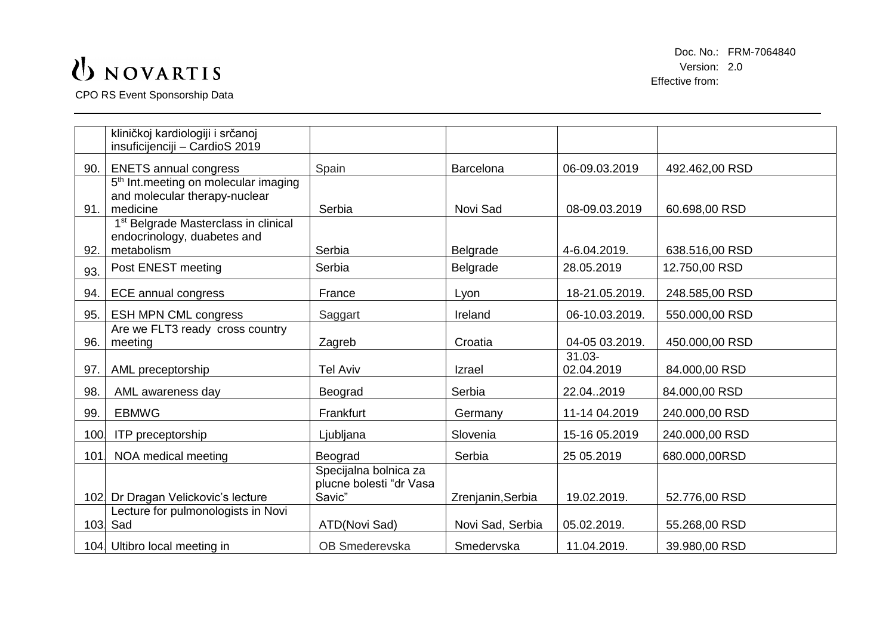CPO RS Event Sponsorship Data

|      | kliničkoj kardiologiji i srčanoj<br>insuficijenciji - CardioS 2019                            |                                                            |                   |                         |                |
|------|-----------------------------------------------------------------------------------------------|------------------------------------------------------------|-------------------|-------------------------|----------------|
| 90.  | <b>ENETS annual congress</b>                                                                  | Spain                                                      | <b>Barcelona</b>  | 06-09.03.2019           | 492.462,00 RSD |
| 91.  | 5 <sup>th</sup> Int.meeting on molecular imaging<br>and molecular therapy-nuclear<br>medicine | Serbia                                                     | Novi Sad          | 08-09.03.2019           | 60.698,00 RSD  |
| 92.  | 1 <sup>st</sup> Belgrade Masterclass in clinical<br>endocrinology, duabetes and<br>metabolism | Serbia                                                     | Belgrade          | 4-6.04.2019.            | 638.516,00 RSD |
| 93.  | Post ENEST meeting                                                                            | Serbia                                                     | Belgrade          | 28.05.2019              | 12.750,00 RSD  |
| 94.  | <b>ECE annual congress</b>                                                                    | France                                                     | Lyon              | 18-21.05.2019.          | 248.585,00 RSD |
| 95.  | <b>ESH MPN CML congress</b>                                                                   | Saggart                                                    | Ireland           | 06-10.03.2019.          | 550.000,00 RSD |
| 96.  | Are we FLT3 ready cross country<br>meeting                                                    | Zagreb                                                     | Croatia           | 04-05 03.2019.          | 450.000,00 RSD |
| 97.  | AML preceptorship                                                                             | <b>Tel Aviv</b>                                            | Izrael            | $31.03 -$<br>02.04.2019 | 84.000,00 RSD  |
| 98.  | AML awareness day                                                                             | Beograd                                                    | Serbia            | 22.042019               | 84.000,00 RSD  |
| 99.  | <b>EBMWG</b>                                                                                  | Frankfurt                                                  | Germany           | 11-14 04.2019           | 240.000,00 RSD |
| 100  | <b>ITP</b> preceptorship                                                                      | Ljubljana                                                  | Slovenia          | 15-16 05.2019           | 240.000,00 RSD |
| 101. | NOA medical meeting                                                                           | Beograd                                                    | Serbia            | 25 05.2019              | 680.000,00RSD  |
| 102. | Dr Dragan Velickovic's lecture                                                                | Specijalna bolnica za<br>plucne bolesti "dr Vasa<br>Savic" | Zrenjanin, Serbia | 19.02.2019.             | 52.776,00 RSD  |
|      | Lecture for pulmonologists in Novi<br>103. Sad                                                | ATD(Novi Sad)                                              | Novi Sad, Serbia  | 05.02.2019.             | 55.268,00 RSD  |
|      | 104. Ultibro local meeting in                                                                 | OB Smederevska                                             | Smedervska        | 11.04.2019.             | 39.980,00 RSD  |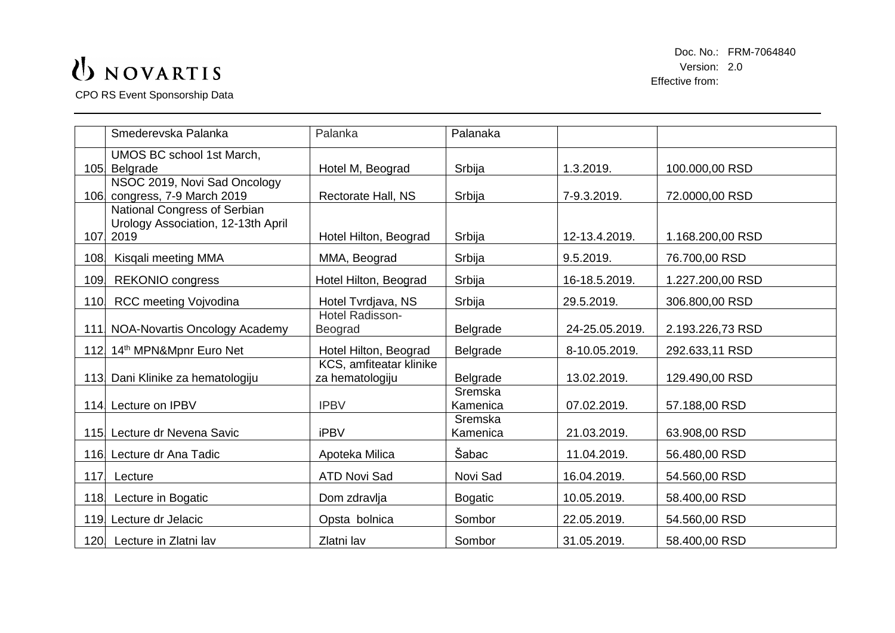CPO RS Event Sponsorship Data

|      | Smederevska Palanka                | Palanka                 | Palanaka       |                |                  |
|------|------------------------------------|-------------------------|----------------|----------------|------------------|
|      | UMOS BC school 1st March,          |                         |                |                |                  |
| 105. | Belgrade                           | Hotel M, Beograd        | Srbija         | 1.3.2019.      | 100.000,00 RSD   |
|      | NSOC 2019, Novi Sad Oncology       |                         |                |                |                  |
|      | 106 congress, 7-9 March 2019       | Rectorate Hall, NS      | Srbija         | 7-9.3.2019.    | 72.0000,00 RSD   |
|      | National Congress of Serbian       |                         |                |                |                  |
|      | Urology Association, 12-13th April |                         |                |                |                  |
| 107. | 2019                               | Hotel Hilton, Beograd   | Srbija         | 12-13.4.2019.  | 1.168.200,00 RSD |
| 108. | Kisqali meeting MMA                | MMA, Beograd            | Srbija         | 9.5.2019.      | 76.700,00 RSD    |
| 109. | <b>REKONIO</b> congress            | Hotel Hilton, Beograd   | Srbija         | 16-18.5.2019.  | 1.227.200,00 RSD |
| 110  | <b>RCC meeting Vojvodina</b>       | Hotel Tvrdjava, NS      | Srbija         | 29.5.2019.     | 306.800,00 RSD   |
|      |                                    | Hotel Radisson-         |                |                |                  |
|      | 111 NOA-Novartis Oncology Academy  | Beograd                 | Belgrade       | 24-25.05.2019. | 2.193.226,73 RSD |
|      | 112. 14th MPN&Mpnr Euro Net        | Hotel Hilton, Beograd   | Belgrade       | 8-10.05.2019.  | 292.633,11 RSD   |
|      |                                    | KCS, amfiteatar klinike |                |                |                  |
|      | 113. Dani Klinike za hematologiju  | za hematologiju         | Belgrade       | 13.02.2019.    | 129.490,00 RSD   |
|      |                                    |                         | Sremska        |                |                  |
|      | 114 Lecture on IPBV                | <b>IPBV</b>             | Kamenica       | 07.02.2019.    | 57.188,00 RSD    |
|      |                                    |                         | Sremska        |                |                  |
|      | 115 Lecture dr Nevena Savic        | <b>iPBV</b>             | Kamenica       | 21.03.2019.    | 63.908,00 RSD    |
|      | 116. Lecture dr Ana Tadic          | Apoteka Milica          | Šabac          | 11.04.2019.    | 56.480,00 RSD    |
| 117. | Lecture                            | <b>ATD Novi Sad</b>     | Novi Sad       | 16.04.2019.    | 54.560,00 RSD    |
| 118. | Lecture in Bogatic                 | Dom zdravlja            | <b>Bogatic</b> | 10.05.2019.    | 58.400,00 RSD    |
|      | 119. Lecture dr Jelacic            | Opsta bolnica           | Sombor         | 22.05.2019.    | 54.560,00 RSD    |
|      | 120 Lecture in Zlatni lav          | Zlatni lav              | Sombor         | 31.05.2019.    | 58.400,00 RSD    |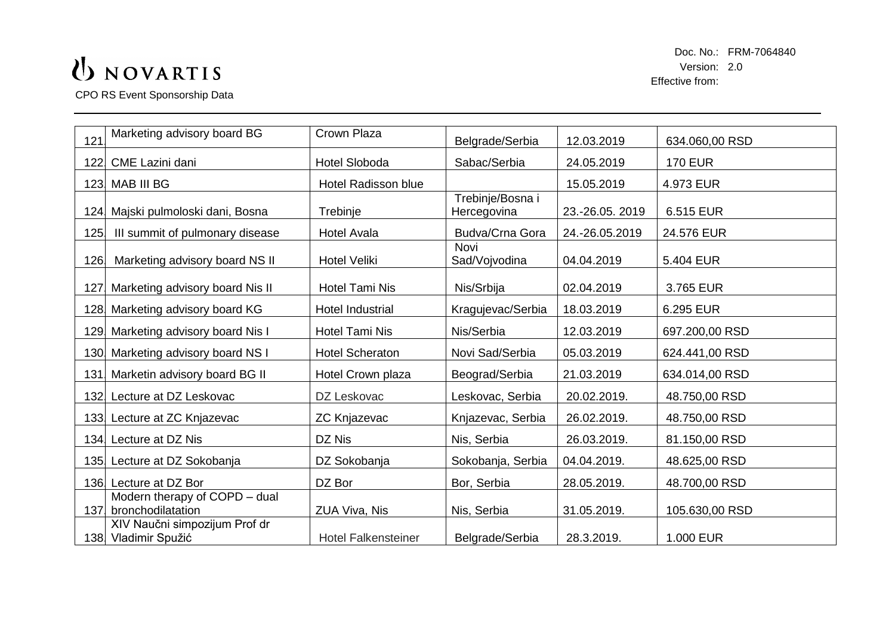CPO RS Event Sponsorship Data

| 121  | Marketing advisory board BG                           | Crown Plaza                | Belgrade/Serbia                 | 12.03.2019     | 634.060,00 RSD |
|------|-------------------------------------------------------|----------------------------|---------------------------------|----------------|----------------|
| 122. | CME Lazini dani                                       | <b>Hotel Sloboda</b>       | Sabac/Serbia                    | 24.05.2019     | <b>170 EUR</b> |
|      | 123. MAB III BG                                       | <b>Hotel Radisson blue</b> |                                 | 15.05.2019     | 4.973 EUR      |
| 124. | Majski pulmoloski dani, Bosna                         | Trebinje                   | Trebinje/Bosna i<br>Hercegovina | 23.-26.05.2019 | 6.515 EUR      |
| 125. | III summit of pulmonary disease                       | <b>Hotel Avala</b>         | Budva/Crna Gora                 | 24.-26.05.2019 | 24.576 EUR     |
| 126  | Marketing advisory board NS II                        | <b>Hotel Veliki</b>        | Novi<br>Sad/Vojvodina           | 04.04.2019     | 5.404 EUR      |
| 127. | Marketing advisory board Nis II                       | <b>Hotel Tami Nis</b>      | Nis/Srbija                      | 02.04.2019     | 3.765 EUR      |
|      | 128 Marketing advisory board KG                       | <b>Hotel Industrial</b>    | Kragujevac/Serbia               | 18.03.2019     | 6.295 EUR      |
| 129  | Marketing advisory board Nis I                        | <b>Hotel Tami Nis</b>      | Nis/Serbia                      | 12.03.2019     | 697.200,00 RSD |
| 130. | Marketing advisory board NS I                         | <b>Hotel Scheraton</b>     | Novi Sad/Serbia                 | 05.03.2019     | 624.441,00 RSD |
| 131. | Marketin advisory board BG II                         | Hotel Crown plaza          | Beograd/Serbia                  | 21.03.2019     | 634.014,00 RSD |
| 132. | Lecture at DZ Leskovac                                | DZ Leskovac                | Leskovac, Serbia                | 20.02.2019.    | 48.750,00 RSD  |
|      | 133 Lecture at ZC Knjazevac                           | <b>ZC Knjazevac</b>        | Knjazevac, Serbia               | 26.02.2019.    | 48.750,00 RSD  |
|      | 134. Lecture at DZ Nis                                | DZ Nis                     | Nis, Serbia                     | 26.03.2019.    | 81.150,00 RSD  |
| 135. | Lecture at DZ Sokobanja                               | DZ Sokobanja               | Sokobanja, Serbia               | 04.04.2019.    | 48.625,00 RSD  |
|      | 136. Lecture at DZ Bor                                | DZ Bor                     | Bor, Serbia                     | 28.05.2019.    | 48.700,00 RSD  |
| 137. | Modern therapy of COPD - dual<br>bronchodilatation    | ZUA Viva, Nis              | Nis, Serbia                     | 31.05.2019.    | 105.630,00 RSD |
|      | XIV Naučni simpozijum Prof dr<br>138. Vladimir Spužić | <b>Hotel Falkensteiner</b> | Belgrade/Serbia                 | 28.3.2019.     | 1.000 EUR      |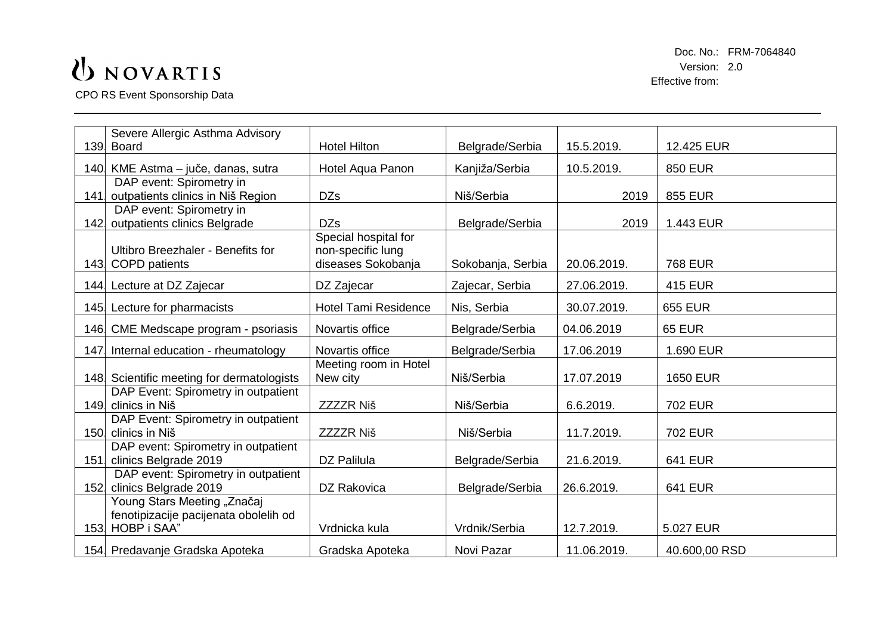CPO RS Event Sponsorship Data

|      | Severe Allergic Asthma Advisory                      |                             |                   |             |                 |
|------|------------------------------------------------------|-----------------------------|-------------------|-------------|-----------------|
|      | 139. Board                                           | <b>Hotel Hilton</b>         | Belgrade/Serbia   | 15.5.2019.  | 12.425 EUR      |
|      | 140 KME Astma - juče, danas, sutra                   | Hotel Aqua Panon            | Kanjiža/Serbia    | 10.5.2019.  | <b>850 EUR</b>  |
|      | DAP event: Spirometry in                             |                             |                   |             |                 |
| 141. | outpatients clinics in Niš Region                    | <b>DZs</b>                  | Niš/Serbia        | 2019        | <b>855 EUR</b>  |
|      | DAP event: Spirometry in                             |                             |                   |             |                 |
|      | 142 outpatients clinics Belgrade                     | <b>DZs</b>                  | Belgrade/Serbia   | 2019        | 1.443 EUR       |
|      |                                                      | Special hospital for        |                   |             |                 |
|      | <b>Ultibro Breezhaler - Benefits for</b>             | non-specific lung           |                   |             |                 |
|      | 143 COPD patients                                    | diseases Sokobanja          | Sokobanja, Serbia | 20.06.2019. | <b>768 EUR</b>  |
|      | 144 Lecture at DZ Zajecar                            | DZ Zajecar                  | Zajecar, Serbia   | 27.06.2019. | <b>415 EUR</b>  |
|      | 145 Lecture for pharmacists                          | <b>Hotel Tami Residence</b> | Nis, Serbia       | 30.07.2019. | <b>655 EUR</b>  |
|      | 146 CME Medscape program - psoriasis                 | Novartis office             | Belgrade/Serbia   | 04.06.2019  | <b>65 EUR</b>   |
| 147  | Internal education - rheumatology                    | Novartis office             | Belgrade/Serbia   | 17.06.2019  | 1.690 EUR       |
|      |                                                      | Meeting room in Hotel       |                   |             |                 |
|      | 148 Scientific meeting for dermatologists            | New city                    | Niš/Serbia        | 17.07.2019  | <b>1650 EUR</b> |
|      | DAP Event: Spirometry in outpatient                  |                             |                   |             |                 |
|      | 149 clinics in Niš                                   | <b>ZZZZR Niš</b>            | Niš/Serbia        | 6.6.2019.   | <b>702 EUR</b>  |
|      | DAP Event: Spirometry in outpatient                  |                             |                   |             |                 |
|      | 150. clinics in Niš                                  | <b>ZZZZR Niš</b>            | Niš/Serbia        | 11.7.2019.  | <b>702 EUR</b>  |
|      | DAP event: Spirometry in outpatient                  |                             |                   |             |                 |
| 151  | clinics Belgrade 2019                                | DZ Palilula                 | Belgrade/Serbia   | 21.6.2019.  | <b>641 EUR</b>  |
| 152  | DAP event: Spirometry in outpatient                  | DZ Rakovica                 |                   | 26.6.2019.  |                 |
|      | clinics Belgrade 2019<br>Young Stars Meeting "Značaj |                             | Belgrade/Serbia   |             | <b>641 EUR</b>  |
|      | fenotipizacije pacijenata obolelih od                |                             |                   |             |                 |
|      | 153 HOBP i SAA"                                      | Vrdnicka kula               | Vrdnik/Serbia     | 12.7.2019.  | 5.027 EUR       |
|      |                                                      |                             |                   |             |                 |
|      | 154 Predavanje Gradska Apoteka                       | Gradska Apoteka             | Novi Pazar        | 11.06.2019. | 40.600,00 RSD   |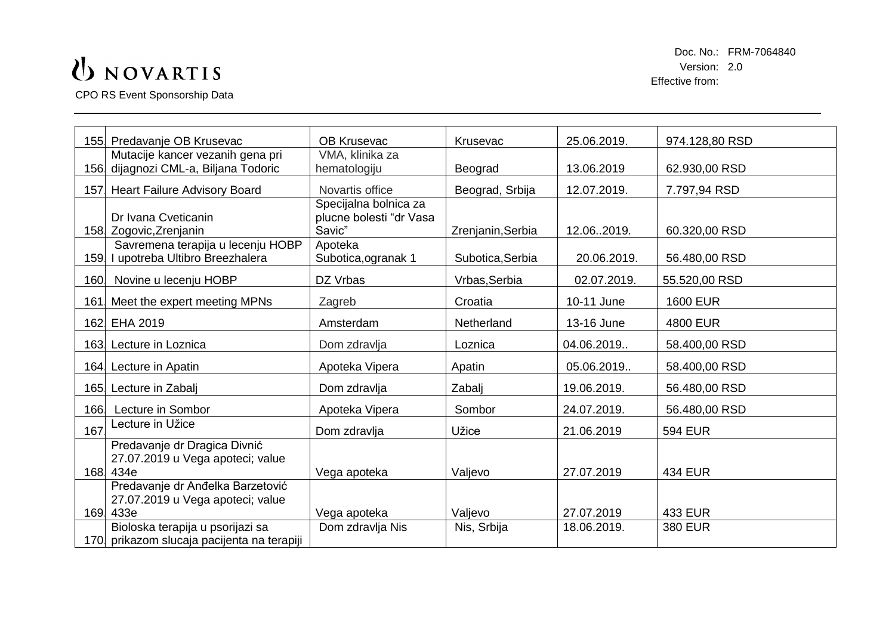CPO RS Event Sponsorship Data

|      | 155 Predavanje OB Krusevac                                                         | <b>OB Krusevac</b>                                                    | Krusevac          | 25.06.2019. | 974.128,80 RSD  |
|------|------------------------------------------------------------------------------------|-----------------------------------------------------------------------|-------------------|-------------|-----------------|
|      | Mutacije kancer vezanih gena pri<br>156. dijagnozi CML-a, Biljana Todoric          | VMA, klinika za<br>hematologiju                                       | Beograd           | 13.06.2019  | 62.930,00 RSD   |
|      | 157 Heart Failure Advisory Board                                                   | Novartis office                                                       | Beograd, Srbija   | 12.07.2019. | 7.797,94 RSD    |
|      | Dr Ivana Cveticanin<br>158 Zogovic, Zrenjanin<br>Savremena terapija u lecenju HOBP | Specijalna bolnica za<br>plucne bolesti "dr Vasa<br>Savic"<br>Apoteka | Zrenjanin, Serbia | 12.062019.  | 60.320,00 RSD   |
|      | 159. I upotreba Ultibro Breezhalera                                                | Subotica, ogranak 1                                                   | Subotica, Serbia  | 20.06.2019. | 56.480,00 RSD   |
| 160. | Novine u lecenju HOBP                                                              | DZ Vrbas                                                              | Vrbas, Serbia     | 02.07.2019. | 55.520,00 RSD   |
| 161. | Meet the expert meeting MPNs                                                       | Zagreb                                                                | Croatia           | 10-11 June  | <b>1600 EUR</b> |
|      | 162 EHA 2019                                                                       | Amsterdam                                                             | Netherland        | 13-16 June  | <b>4800 EUR</b> |
|      | 163. Lecture in Loznica                                                            | Dom zdravlja                                                          | Loznica           | 04.06.2019  | 58.400,00 RSD   |
|      | 164 Lecture in Apatin                                                              | Apoteka Vipera                                                        | Apatin            | 05.06.2019  | 58.400,00 RSD   |
|      | 165 Lecture in Zabalj                                                              | Dom zdravlja                                                          | Zabalj            | 19.06.2019. | 56.480,00 RSD   |
| 166  | Lecture in Sombor                                                                  | Apoteka Vipera                                                        | Sombor            | 24.07.2019. | 56.480,00 RSD   |
| 167. | Lecture in Užice                                                                   | Dom zdravlja                                                          | Užice             | 21.06.2019  | <b>594 EUR</b>  |
|      | Predavanje dr Dragica Divnić<br>27.07.2019 u Vega apoteci; value<br>168.434e       | Vega apoteka                                                          | Valjevo           | 27.07.2019  | <b>434 EUR</b>  |
|      | Predavanje dr Anđelka Barzetović<br>27.07.2019 u Vega apoteci; value<br>169 433e   | Vega apoteka                                                          | Valjevo           | 27.07.2019  | <b>433 EUR</b>  |
|      | Bioloska terapija u psorijazi sa<br>170. prikazom slucaja pacijenta na terapiji    | Dom zdravlja Nis                                                      | Nis, Srbija       | 18.06.2019. | <b>380 EUR</b>  |